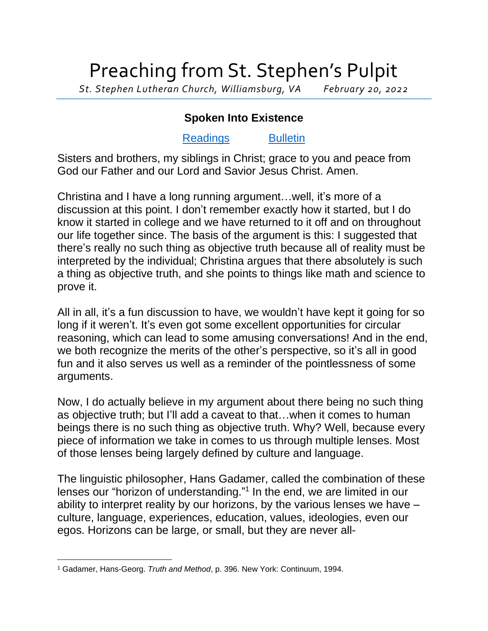## Preaching from St. Stephen's Pulpit

*St. Stephen Lutheran Church, Williamsburg, VA February 20, 2022*

## **Spoken Into Existence**

## [Readings](https://lectionary.library.vanderbilt.edu/texts.php?id=113) [Bulletin](http://www.saintstephenlutheran.net/sunday-bulletins/)

Sisters and brothers, my siblings in Christ; grace to you and peace from God our Father and our Lord and Savior Jesus Christ. Amen.

Christina and I have a long running argument…well, it's more of a discussion at this point. I don't remember exactly how it started, but I do know it started in college and we have returned to it off and on throughout our life together since. The basis of the argument is this: I suggested that there's really no such thing as objective truth because all of reality must be interpreted by the individual; Christina argues that there absolutely is such a thing as objective truth, and she points to things like math and science to prove it.

All in all, it's a fun discussion to have, we wouldn't have kept it going for so long if it weren't. It's even got some excellent opportunities for circular reasoning, which can lead to some amusing conversations! And in the end, we both recognize the merits of the other's perspective, so it's all in good fun and it also serves us well as a reminder of the pointlessness of some arguments.

Now, I do actually believe in my argument about there being no such thing as objective truth; but I'll add a caveat to that…when it comes to human beings there is no such thing as objective truth. Why? Well, because every piece of information we take in comes to us through multiple lenses. Most of those lenses being largely defined by culture and language.

The linguistic philosopher, Hans Gadamer, called the combination of these lenses our "horizon of understanding."<sup>1</sup> In the end, we are limited in our ability to interpret reality by our horizons, by the various lenses we have – culture, language, experiences, education, values, ideologies, even our egos. Horizons can be large, or small, but they are never all-

<sup>1</sup> Gadamer, Hans-Georg. *Truth and Method*, p. 396. New York: Continuum, 1994.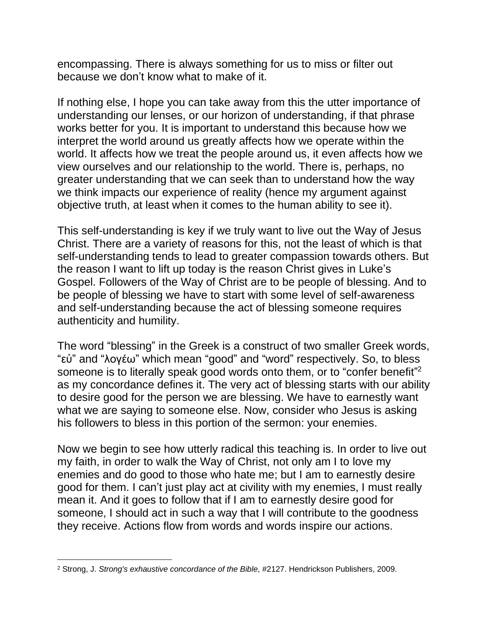encompassing. There is always something for us to miss or filter out because we don't know what to make of it.

If nothing else, I hope you can take away from this the utter importance of understanding our lenses, or our horizon of understanding, if that phrase works better for you. It is important to understand this because how we interpret the world around us greatly affects how we operate within the world. It affects how we treat the people around us, it even affects how we view ourselves and our relationship to the world. There is, perhaps, no greater understanding that we can seek than to understand how the way we think impacts our experience of reality (hence my argument against objective truth, at least when it comes to the human ability to see it).

This self-understanding is key if we truly want to live out the Way of Jesus Christ. There are a variety of reasons for this, not the least of which is that self-understanding tends to lead to greater compassion towards others. But the reason I want to lift up today is the reason Christ gives in Luke's Gospel. Followers of the Way of Christ are to be people of blessing. And to be people of blessing we have to start with some level of self-awareness and self-understanding because the act of blessing someone requires authenticity and humility.

The word "blessing" in the Greek is a construct of two smaller Greek words, "εὐ" and "λογέω" which mean "good" and "word" respectively. So, to bless someone is to literally speak good words onto them, or to "confer benefit"<sup>2</sup> as my concordance defines it. The very act of blessing starts with our ability to desire good for the person we are blessing. We have to earnestly want what we are saying to someone else. Now, consider who Jesus is asking his followers to bless in this portion of the sermon: your enemies.

Now we begin to see how utterly radical this teaching is. In order to live out my faith, in order to walk the Way of Christ, not only am I to love my enemies and do good to those who hate me; but I am to earnestly desire good for them. I can't just play act at civility with my enemies, I must really mean it. And it goes to follow that if I am to earnestly desire good for someone, I should act in such a way that I will contribute to the goodness they receive. Actions flow from words and words inspire our actions.

<sup>2</sup> Strong, J. *Strong's exhaustive concordance of the Bible,* #2127. Hendrickson Publishers, 2009.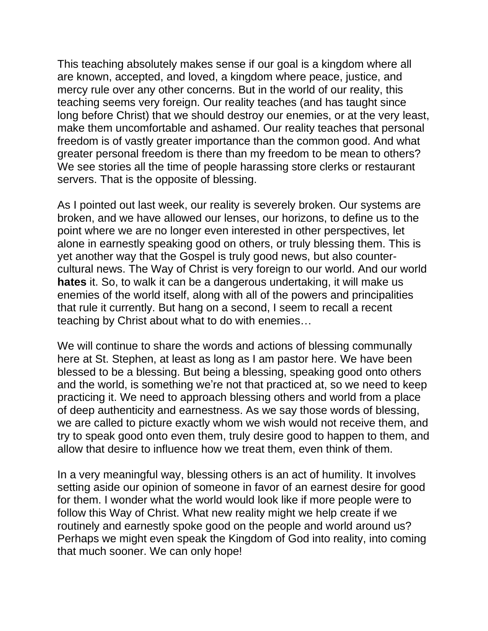This teaching absolutely makes sense if our goal is a kingdom where all are known, accepted, and loved, a kingdom where peace, justice, and mercy rule over any other concerns. But in the world of our reality, this teaching seems very foreign. Our reality teaches (and has taught since long before Christ) that we should destroy our enemies, or at the very least, make them uncomfortable and ashamed. Our reality teaches that personal freedom is of vastly greater importance than the common good. And what greater personal freedom is there than my freedom to be mean to others? We see stories all the time of people harassing store clerks or restaurant servers. That is the opposite of blessing.

As I pointed out last week, our reality is severely broken. Our systems are broken, and we have allowed our lenses, our horizons, to define us to the point where we are no longer even interested in other perspectives, let alone in earnestly speaking good on others, or truly blessing them. This is yet another way that the Gospel is truly good news, but also countercultural news. The Way of Christ is very foreign to our world. And our world **hates** it. So, to walk it can be a dangerous undertaking, it will make us enemies of the world itself, along with all of the powers and principalities that rule it currently. But hang on a second, I seem to recall a recent teaching by Christ about what to do with enemies…

We will continue to share the words and actions of blessing communally here at St. Stephen, at least as long as I am pastor here. We have been blessed to be a blessing. But being a blessing, speaking good onto others and the world, is something we're not that practiced at, so we need to keep practicing it. We need to approach blessing others and world from a place of deep authenticity and earnestness. As we say those words of blessing, we are called to picture exactly whom we wish would not receive them, and try to speak good onto even them, truly desire good to happen to them, and allow that desire to influence how we treat them, even think of them.

In a very meaningful way, blessing others is an act of humility. It involves setting aside our opinion of someone in favor of an earnest desire for good for them. I wonder what the world would look like if more people were to follow this Way of Christ. What new reality might we help create if we routinely and earnestly spoke good on the people and world around us? Perhaps we might even speak the Kingdom of God into reality, into coming that much sooner. We can only hope!